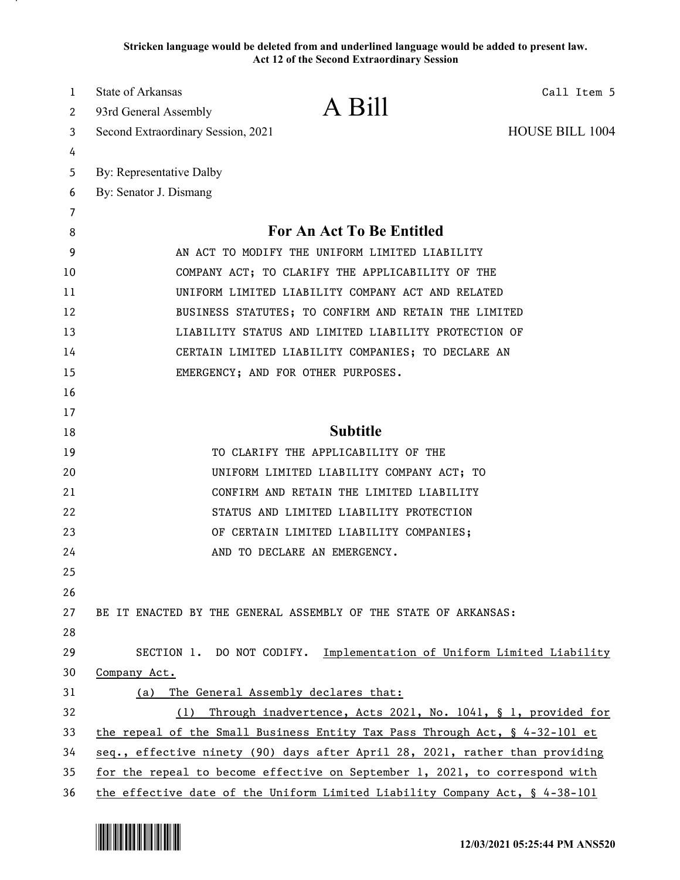**Stricken language would be deleted from and underlined language would be added to present law. Act 12 of the Second Extraordinary Session**

| 1  | State of Arkansas<br>Call Item 5                                             |
|----|------------------------------------------------------------------------------|
| 2  | A Bill<br>93rd General Assembly                                              |
| 3  | <b>HOUSE BILL 1004</b><br>Second Extraordinary Session, 2021                 |
| 4  |                                                                              |
| 5  | By: Representative Dalby                                                     |
| 6  | By: Senator J. Dismang                                                       |
| 7  |                                                                              |
| 8  | For An Act To Be Entitled                                                    |
| 9  | AN ACT TO MODIFY THE UNIFORM LIMITED LIABILITY                               |
| 10 | COMPANY ACT; TO CLARIFY THE APPLICABILITY OF THE                             |
| 11 | UNIFORM LIMITED LIABILITY COMPANY ACT AND RELATED                            |
| 12 | BUSINESS STATUTES; TO CONFIRM AND RETAIN THE LIMITED                         |
| 13 | LIABILITY STATUS AND LIMITED LIABILITY PROTECTION OF                         |
| 14 | CERTAIN LIMITED LIABILITY COMPANIES; TO DECLARE AN                           |
| 15 | EMERGENCY; AND FOR OTHER PURPOSES.                                           |
| 16 |                                                                              |
| 17 |                                                                              |
| 18 | <b>Subtitle</b>                                                              |
| 19 | TO CLARIFY THE APPLICABILITY OF THE                                          |
| 20 | UNIFORM LIMITED LIABILITY COMPANY ACT; TO                                    |
| 21 | CONFIRM AND RETAIN THE LIMITED LIABILITY                                     |
| 22 | STATUS AND LIMITED LIABILITY PROTECTION                                      |
| 23 | OF CERTAIN LIMITED LIABILITY COMPANIES;                                      |
| 24 | AND TO DECLARE AN EMERGENCY.                                                 |
| 25 |                                                                              |
| 26 |                                                                              |
| 27 | BE IT ENACTED BY THE GENERAL ASSEMBLY OF THE STATE OF ARKANSAS:              |
| 28 |                                                                              |
| 29 | SECTION 1. DO NOT CODIFY. Implementation of Uniform Limited Liability        |
| 30 | Company Act.                                                                 |
| 31 | The General Assembly declares that:<br>(a)                                   |
| 32 | Through inadvertence, Acts 2021, No. 1041, § 1, provided for<br>(1)          |
| 33 | the repeal of the Small Business Entity Tax Pass Through Act, § 4-32-101 et  |
| 34 | seq., effective ninety (90) days after April 28, 2021, rather than providing |
| 35 | for the repeal to become effective on September 1, 2021, to correspond with  |
| 36 | the effective date of the Uniform Limited Liability Company Act, § 4-38-101  |

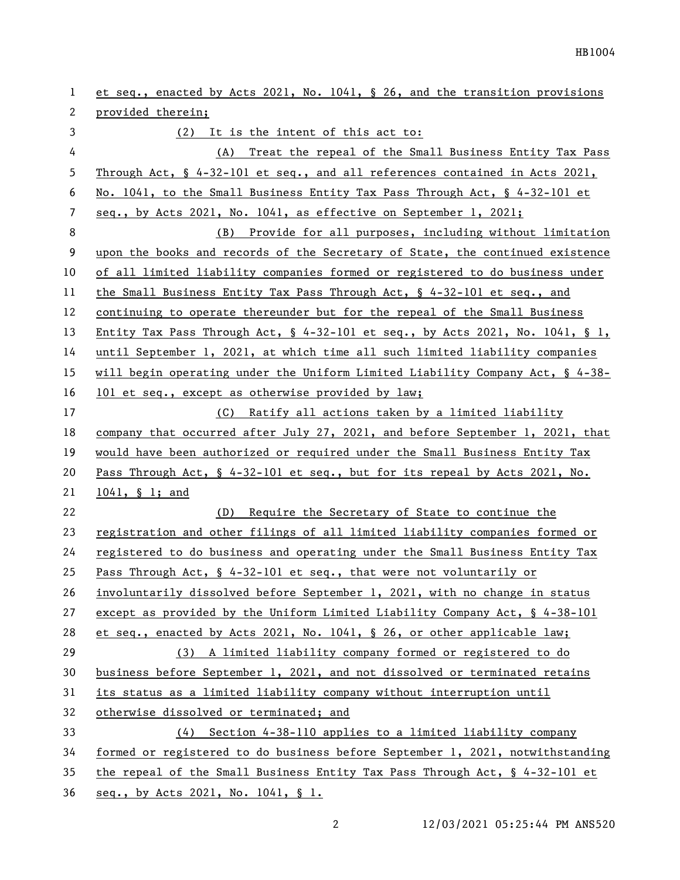| 1  | et seq., enacted by Acts 2021, No. 1041, § 26, and the transition provisions        |
|----|-------------------------------------------------------------------------------------|
| 2  | provided therein;                                                                   |
| 3  | (2) It is the intent of this act to:                                                |
| 4  | (A) Treat the repeal of the Small Business Entity Tax Pass                          |
| 5  | Through Act, $\S$ 4-32-101 et seq., and all references contained in Acts 2021,      |
| 6  | No. 1041, to the Small Business Entity Tax Pass Through Act, § 4-32-101 et          |
| 7  | seq., by Acts 2021, No. 1041, as effective on September 1, 2021;                    |
| 8  | (B) Provide for all purposes, including without limitation                          |
| 9  | upon the books and records of the Secretary of State, the continued existence       |
| 10 | of all limited liability companies formed or registered to do business under        |
| 11 | the Small Business Entity Tax Pass Through Act, $\frac{6}{5}$ 4-32-101 et seq., and |
| 12 | continuing to operate thereunder but for the repeal of the Small Business           |
| 13 | Entity Tax Pass Through Act, $\S$ 4-32-101 et seq., by Acts 2021, No. 1041, $\S$ 1, |
| 14 | until September 1, 2021, at which time all such limited liability companies         |
| 15 | will begin operating under the Uniform Limited Liability Company Act, $\S$ 4-38-    |
| 16 | 101 et seq., except as otherwise provided by law;                                   |
| 17 | (C) Ratify all actions taken by a limited liability                                 |
| 18 | company that occurred after July 27, 2021, and before September 1, 2021, that       |
| 19 | would have been authorized or required under the Small Business Entity Tax          |
| 20 | Pass Through Act, § 4-32-101 et seq., but for its repeal by Acts 2021, No.          |
| 21 | 1041, § 1; and                                                                      |
| 22 | Require the Secretary of State to continue the<br>(D)                               |
| 23 | registration and other filings of all limited liability companies formed or         |
| 24 | registered to do business and operating under the Small Business Entity Tax         |
| 25 | Pass Through Act, $\S$ 4-32-101 et seq., that were not voluntarily or               |
| 26 | involuntarily dissolved before September 1, 2021, with no change in status          |
| 27 | except as provided by the Uniform Limited Liability Company Act, $\S$ 4-38-101      |
| 28 | et seq., enacted by Acts 2021, No. 1041, § 26, or other applicable law;             |
| 29 | (3) A limited liability company formed or registered to do                          |
| 30 | business before September 1, 2021, and not dissolved or terminated retains          |
| 31 | its status as a limited liability company without interruption until                |
| 32 | otherwise dissolved or terminated; and                                              |
| 33 | (4) Section 4-38-110 applies to a limited liability company                         |
| 34 | formed or registered to do business before September 1, 2021, notwithstanding       |
| 35 | the repeal of the Small Business Entity Tax Pass Through Act, § 4-32-101 et         |
| 36 | seq., by Acts 2021, No. 1041, § 1.                                                  |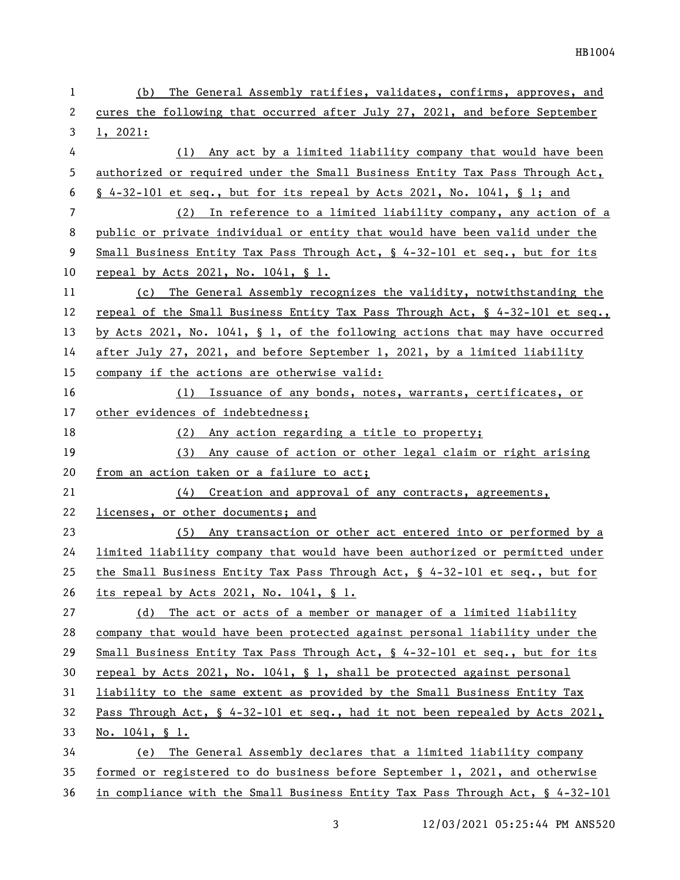| 1  | The General Assembly ratifies, validates, confirms, approves, and<br>(b)        |
|----|---------------------------------------------------------------------------------|
| 2  | cures the following that occurred after July 27, 2021, and before September     |
| 3  | 1, 2021:                                                                        |
| 4  | Any act by a limited liability company that would have been<br>(1)              |
| 5  | authorized or required under the Small Business Entity Tax Pass Through Act,    |
| 6  | $\S$ 4-32-101 et seq., but for its repeal by Acts 2021, No. 1041, $\S$ 1; and   |
| 7  | (2) In reference to a limited liability company, any action of a                |
| 8  | public or private individual or entity that would have been valid under the     |
| 9  | Small Business Entity Tax Pass Through Act, $\S$ 4-32-101 et seq., but for its  |
| 10 | repeal by Acts 2021, No. 1041, § 1.                                             |
| 11 | (c) The General Assembly recognizes the validity, notwithstanding the           |
| 12 | repeal of the Small Business Entity Tax Pass Through Act, § 4-32-101 et seq.,   |
| 13 | by Acts 2021, No. 1041, $\S$ 1, of the following actions that may have occurred |
| 14 | after July 27, 2021, and before September 1, 2021, by a limited liability       |
| 15 | company if the actions are otherwise valid:                                     |
| 16 | (1) Issuance of any bonds, notes, warrants, certificates, or                    |
| 17 | other evidences of indebtedness;                                                |
| 18 | (2) Any action regarding a title to property;                                   |
| 19 | Any cause of action or other legal claim or right arising<br>(3)                |
| 20 | from an action taken or a failure to act;                                       |
| 21 | Creation and approval of any contracts, agreements,<br>(4)                      |
| 22 | licenses, or other documents; and                                               |
| 23 | (5) Any transaction or other act entered into or performed by a                 |
| 24 | limited liability company that would have been authorized or permitted under    |
| 25 | the Small Business Entity Tax Pass Through Act, § 4-32-101 et seq., but for     |
| 26 | its repeal by Acts 2021, No. $1041$ , § 1.                                      |
| 27 | The act or acts of a member or manager of a limited liability<br>(d)            |
| 28 | company that would have been protected against personal liability under the     |
| 29 | Small Business Entity Tax Pass Through Act, $\S$ 4-32-101 et seq., but for its  |
| 30 | repeal by Acts 2021, No. 1041, $\S$ 1, shall be protected against personal      |
| 31 | liability to the same extent as provided by the Small Business Entity Tax       |
| 32 | Pass Through Act, § 4-32-101 et seq., had it not been repealed by Acts 2021,    |
| 33 | No. $1041, \S 1.$                                                               |
| 34 | (e) The General Assembly declares that a limited liability company              |
| 35 | formed or registered to do business before September 1, 2021, and otherwise     |
| 36 | in compliance with the Small Business Entity Tax Pass Through Act, § 4-32-101   |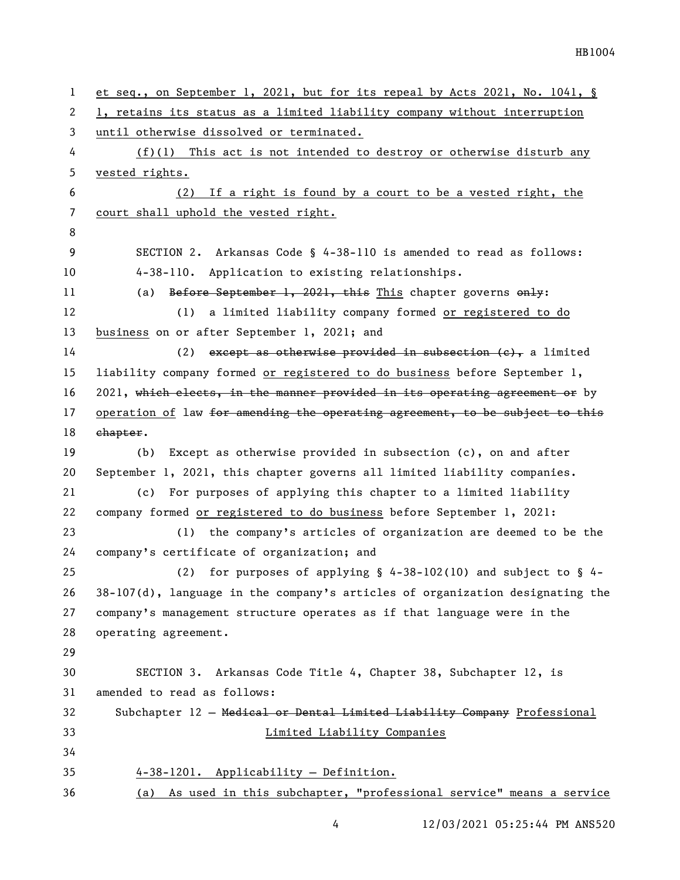```
1 et seq., on September 1, 2021, but for its repeal by Acts 2021, No. 1041, § 
 2 1, retains its status as a limited liability company without interruption 
3 until otherwise dissolved or terminated.
 4 (f)(1) This act is not intended to destroy or otherwise disturb any 
5 vested rights.
6 (2) If a right is found by a court to be a vested right, the 
7 court shall uphold the vested right.
8
9 SECTION 2. Arkansas Code § 4-38-110 is amended to read as follows:
10 4-38-110. Application to existing relationships.
11 (a) Before September 1, 2021, this This chapter governs only:
12 (1) a limited liability company formed or registered to do 
13 business on or after September 1, 2021; and
14 (2) except as otherwise provided in subsection (e), a limited
15 liability company formed or registered to do business before September 1, 
16 2021, which elects, in the manner provided in its operating agreement or by
17 operation of law for amending the operating agreement, to be subject to this
18 ehapter.
19 (b) Except as otherwise provided in subsection (c), on and after 
20 September 1, 2021, this chapter governs all limited liability companies.
21 (c) For purposes of applying this chapter to a limited liability 
22 company formed or registered to do business before September 1, 2021:
23 (1) the company's articles of organization are deemed to be the 
24 company's certificate of organization; and
25 (2) for purposes of applying § 4-38-102(10) and subject to § 4-
26 38-107(d), language in the company's articles of organization designating the 
27 company's management structure operates as if that language were in the 
28 operating agreement.
29
30 SECTION 3. Arkansas Code Title 4, Chapter 38, Subchapter 12, is 
31 amended to read as follows:
32 Subchapter 12 — Medical or Dental Limited Liability Company Professional 
33 Limited Liability Companies
34
35 4-38-1201. Applicability — Definition.
36 (a) As used in this subchapter, "professional service" means a service
```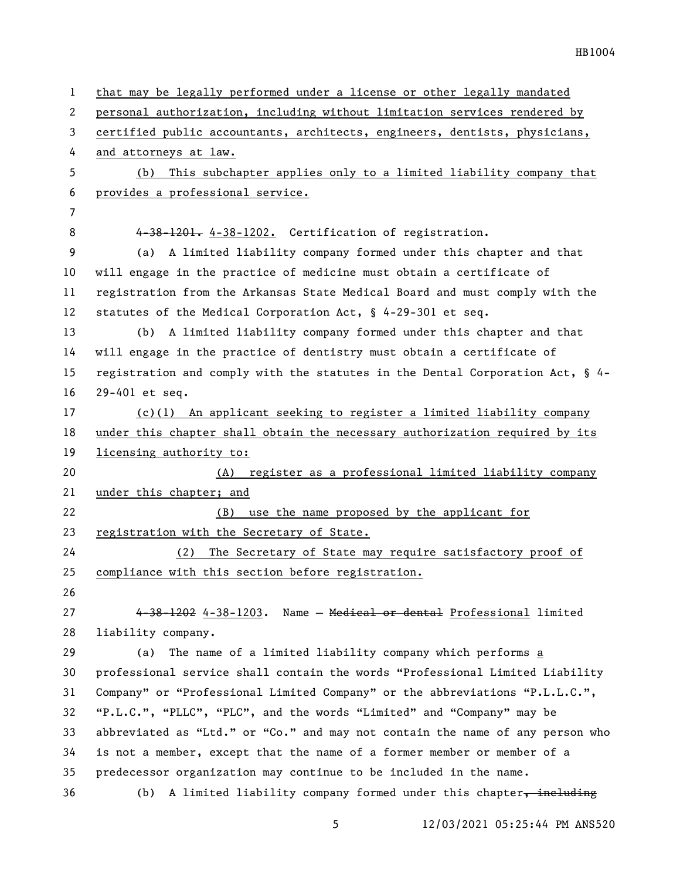| $\mathbf{1}$ | that may be legally performed under a license or other legally mandated       |
|--------------|-------------------------------------------------------------------------------|
| $\mathbf{2}$ | personal authorization, including without limitation services rendered by     |
| 3            | certified public accountants, architects, engineers, dentists, physicians,    |
| 4            | and attorneys at law.                                                         |
| 5            | This subchapter applies only to a limited liability company that<br>(b)       |
| 6            | provides a professional service.                                              |
| 7            |                                                                               |
| 8            | 4-38-1201. 4-38-1202. Certification of registration.                          |
| 9            | (a) A limited liability company formed under this chapter and that            |
| 10           | will engage in the practice of medicine must obtain a certificate of          |
| 11           | registration from the Arkansas State Medical Board and must comply with the   |
| 12           | statutes of the Medical Corporation Act, $\frac{6}{5}$ 4-29-301 et seq.       |
| 13           | (b) A limited liability company formed under this chapter and that            |
| 14           | will engage in the practice of dentistry must obtain a certificate of         |
| 15           | registration and comply with the statutes in the Dental Corporation Act, § 4- |
| 16           | 29-401 et seq.                                                                |
| 17           | (c)(1) An applicant seeking to register a limited liability company           |
| 18           | under this chapter shall obtain the necessary authorization required by its   |
| 19           | licensing authority to:                                                       |
| 20           | (A) register as a professional limited liability company                      |
| 21           | under this chapter; and                                                       |
| 22           | use the name proposed by the applicant for<br>(B)                             |
| 23           | registration with the Secretary of State.                                     |
| 24           | The Secretary of State may require satisfactory proof of<br>(2)               |
| 25           | compliance with this section before registration.                             |
| 26           |                                                                               |
| 27           | 4-38-1202 4-38-1203. Name - Medical or dental Professional limited            |
| 28           | liability company.                                                            |
| 29           | The name of a limited liability company which performs a<br>(a)               |
| 30           | professional service shall contain the words "Professional Limited Liability  |
| 31           | Company" or "Professional Limited Company" or the abbreviations "P.L.L.C.",   |
| 32           | "P.L.C.", "PLLC", "PLC", and the words "Limited" and "Company" may be         |
| 33           | abbreviated as "Ltd." or "Co." and may not contain the name of any person who |
| 34           | is not a member, except that the name of a former member or member of a       |
| 35           | predecessor organization may continue to be included in the name.             |
| 36           | (b) A limited liability company formed under this chapter, including          |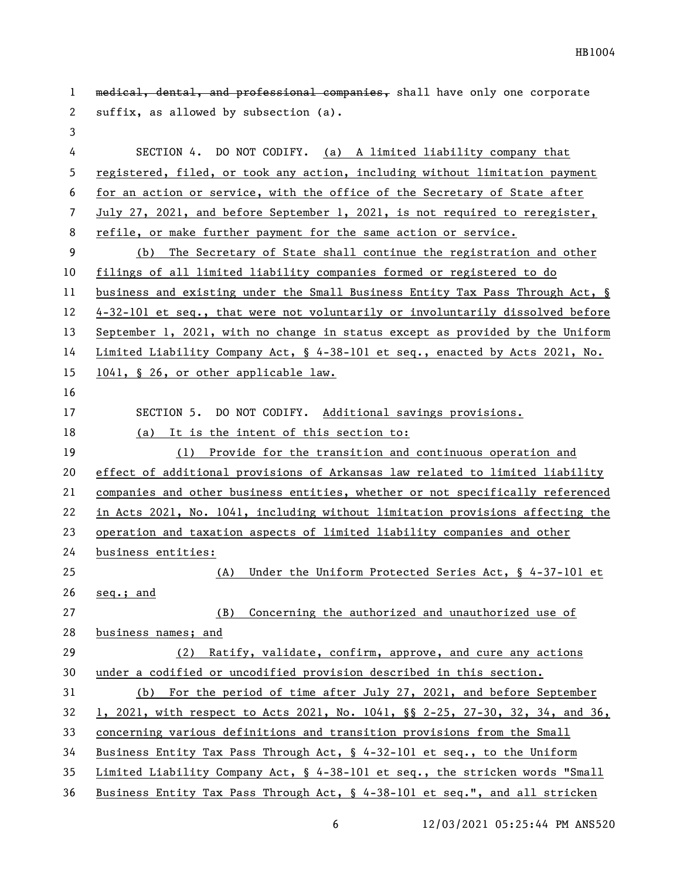| 1  | medical, dental, and professional companies, shall have only one corporate    |
|----|-------------------------------------------------------------------------------|
| 2  | suffix, as allowed by subsection (a).                                         |
| 3  |                                                                               |
| 4  | SECTION 4. DO NOT CODIFY. (a) A limited liability company that                |
| 5  | registered, filed, or took any action, including without limitation payment   |
| 6  | for an action or service, with the office of the Secretary of State after     |
| 7  | July 27, 2021, and before September 1, 2021, is not required to reregister,   |
| 8  | refile, or make further payment for the same action or service.               |
| 9  | The Secretary of State shall continue the registration and other<br>(b)       |
| 10 | filings of all limited liability companies formed or registered to do         |
| 11 | business and existing under the Small Business Entity Tax Pass Through Act, § |
| 12 | 4-32-101 et seq., that were not voluntarily or involuntarily dissolved before |
| 13 | September 1, 2021, with no change in status except as provided by the Uniform |
| 14 | Limited Liability Company Act, § 4-38-101 et seq., enacted by Acts 2021, No.  |
| 15 | 1041, § 26, or other applicable law.                                          |
| 16 |                                                                               |
| 17 | SECTION 5. DO NOT CODIFY. Additional savings provisions.                      |
| 18 | It is the intent of this section to:<br>(a)                                   |
| 19 | Provide for the transition and continuous operation and<br>(1)                |
| 20 | effect of additional provisions of Arkansas law related to limited liability  |
| 21 | companies and other business entities, whether or not specifically referenced |
| 22 | in Acts 2021, No. 1041, including without limitation provisions affecting the |
| 23 | operation and taxation aspects of limited liability companies and other       |
| 24 | business entities:                                                            |
| 25 | (A) Under the Uniform Protected Series Act, § 4-37-101 et                     |
| 26 | seq.; and                                                                     |
| 27 | Concerning the authorized and unauthorized use of<br>(B)                      |
| 28 | business names; and                                                           |
| 29 | Ratify, validate, confirm, approve, and cure any actions<br>(2)               |
| 30 | under a codified or uncodified provision described in this section.           |
| 31 | For the period of time after July 27, 2021, and before September<br>(b)       |
| 32 | 1, 2021, with respect to Acts 2021, No. 1041, §§ 2-25, 27-30, 32, 34, and 36, |
| 33 | concerning various definitions and transition provisions from the Small       |
| 34 | Business Entity Tax Pass Through Act, § 4-32-101 et seq., to the Uniform      |
| 35 | Limited Liability Company Act, § 4-38-101 et seq., the stricken words "Small  |
| 36 | Business Entity Tax Pass Through Act, § 4-38-101 et seq.", and all stricken   |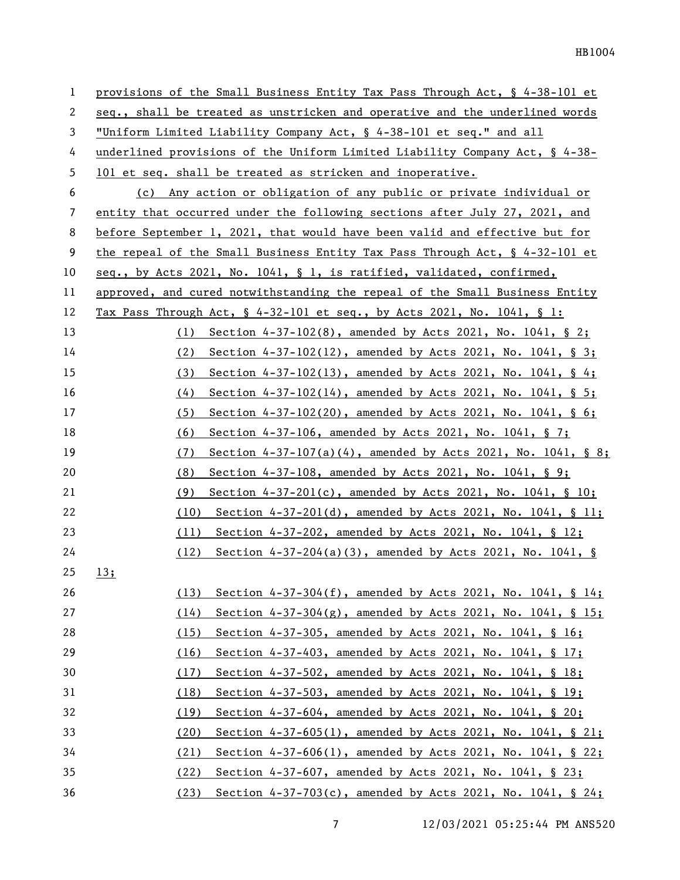| $\mathbf{1}$ | provisions of the Small Business Entity Tax Pass Through Act, § 4-38-101 et    |
|--------------|--------------------------------------------------------------------------------|
| 2            | seq., shall be treated as unstricken and operative and the underlined words    |
| 3            | "Uniform Limited Liability Company Act, § 4-38-101 et seq." and all            |
| 4            | underlined provisions of the Uniform Limited Liability Company Act, § 4-38-    |
| 5            | 101 et seq. shall be treated as stricken and inoperative.                      |
| 6            | (c) Any action or obligation of any public or private individual or            |
| 7            | entity that occurred under the following sections after July 27, 2021, and     |
| 8            | before September 1, 2021, that would have been valid and effective but for     |
| 9            | the repeal of the Small Business Entity Tax Pass Through Act, $\S$ 4-32-101 et |
| 10           | seq., by Acts 2021, No. 1041, § 1, is ratified, validated, confirmed,          |
| 11           | approved, and cured notwithstanding the repeal of the Small Business Entity    |
| 12           | Tax Pass Through Act, $\S$ 4-32-101 et seq., by Acts 2021, No. 1041, $\S$ 1:   |
| 13           | (1) Section $4-37-102(8)$ , amended by Acts 2021, No. 1041, § 2;               |
| 14           | Section $4-37-102(12)$ , amended by Acts 2021, No. 1041, § 3;<br>(2)           |
| 15           | Section $4-37-102(13)$ , amended by Acts 2021, No. 1041, § 4;<br>(3)           |
| 16           | (4)<br>Section $4-37-102(14)$ , amended by Acts 2021, No. 1041, § 5;           |
| 17           | Section $4-37-102(20)$ , amended by Acts 2021, No. 1041, § 6;<br>(5)           |
| 18           | (6)<br>Section 4-37-106, amended by Acts 2021, No. 1041, § 7;                  |
| 19           | Section $4-37-107(a)(4)$ , amended by Acts 2021, No. 1041, § 8;<br>(7)         |
| 20           | (8)<br>Section $4-37-108$ , amended by Acts 2021, No. 1041, § 9;               |
| 21           | Section $4-37-201(c)$ , amended by Acts 2021, No. 1041, § 10;<br>(9)           |
| 22           | Section $4-37-201(d)$ , amended by Acts 2021, No. 1041, § 11;<br>(10)          |
| 23           | Section 4-37-202, amended by Acts 2021, No. 1041, § 12;<br>(11)                |
| 24           | (12)<br>Section $4-37-204(a)(3)$ , amended by Acts 2021, No. 1041, §           |
| 25           | 13;                                                                            |
| 26           | Section $4-37-304(f)$ , amended by Acts 2021, No. 1041, § 14;<br>(13)          |
| 27           | Section $4-37-304(g)$ , amended by Acts 2021, No. 1041, § 15;<br>(14)          |
| 28           | Section 4-37-305, amended by Acts 2021, No. 1041, § 16;<br>(15)                |
| 29           | Section 4-37-403, amended by Acts 2021, No. 1041, § 17;<br>(16)                |
| 30           | Section 4-37-502, amended by Acts 2021, No. 1041, § 18;<br>(17)                |
| 31           | Section 4-37-503, amended by Acts 2021, No. 1041, § 19;<br>(18)                |
| 32           | Section 4-37-604, amended by Acts 2021, No. 1041, § 20;<br>(19)                |
| 33           | Section $4-37-605(1)$ , amended by Acts 2021, No. 1041, § 21;<br>(20)          |
| 34           | Section 4-37-606(1), amended by Acts 2021, No. 1041, § 22;<br>(21)             |
| 35           | Section 4-37-607, amended by Acts 2021, No. 1041, § 23;<br>(22)                |
| 36           | Section $4-37-703(c)$ , amended by Acts 2021, No. 1041, § 24;<br>(23)          |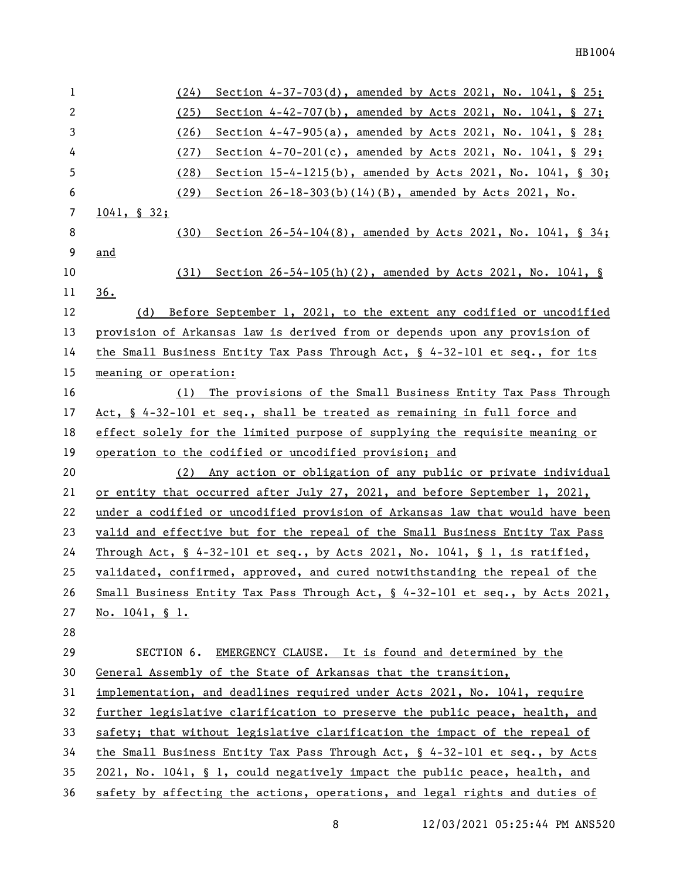| 1            | (24)<br>Section 4-37-703(d), amended by Acts 2021, No. 1041, § 25;                                 |
|--------------|----------------------------------------------------------------------------------------------------|
| $\mathbf{2}$ | (25)<br>Section 4-42-707(b), amended by Acts 2021, No. 1041, § 27;                                 |
| 3            | (26)<br>Section 4-47-905(a), amended by Acts 2021, No. 1041, § 28;                                 |
| 4            | (27)<br>Section 4-70-201(c), amended by Acts 2021, No. 1041, § 29;                                 |
| 5            | (28)<br>Section 15-4-1215(b), amended by Acts 2021, No. 1041, § 30;                                |
| 6            | Section 26-18-303(b)(14)(B), amended by Acts 2021, No.<br>(29)                                     |
| 7            | $1041, \S 32;$                                                                                     |
| 8            | Section $26-54-104(8)$ , amended by Acts 2021, No. 1041, § 34;<br>(30)                             |
| 9            | and                                                                                                |
| 10           | Section $26-54-105(h)(2)$ , amended by Acts 2021, No. 1041, §<br>(31)                              |
| 11           | 36.                                                                                                |
| 12           | (d) Before September 1, 2021, to the extent any codified or uncodified                             |
| 13           | provision of Arkansas law is derived from or depends upon any provision of                         |
| 14           | the Small Business Entity Tax Pass Through Act, § 4-32-101 et seq., for its                        |
| 15           | meaning or operation:                                                                              |
| 16           | (1) The provisions of the Small Business Entity Tax Pass Through                                   |
| 17           | Act, § 4-32-101 et seq., shall be treated as remaining in full force and                           |
| 18           | effect solely for the limited purpose of supplying the requisite meaning or                        |
| 19           | operation to the codified or uncodified provision; and                                             |
| 20           | (2) Any action or obligation of any public or private individual                                   |
| 21           | or entity that occurred after July 27, 2021, and before September 1, 2021,                         |
| 22           | under a codified or uncodified provision of Arkansas law that would have been                      |
| 23           | valid and effective but for the repeal of the Small Business Entity Tax Pass                       |
| 24           | Through Act, $\frac{6}{5}$ 4-32-101 et seq., by Acts 2021, No. 1041, $\frac{6}{5}$ 1, is ratified, |
| 25           | validated, confirmed, approved, and cured notwithstanding the repeal of the                        |
| 26           | Small Business Entity Tax Pass Through Act, § 4-32-101 et seq., by Acts 2021,                      |
| 27           | No. $1041, \S 1.$                                                                                  |
| 28           |                                                                                                    |
| 29           | SECTION 6.<br>EMERGENCY CLAUSE. It is found and determined by the                                  |
| 30           | General Assembly of the State of Arkansas that the transition,                                     |
| 31           | implementation, and deadlines required under Acts 2021, No. 1041, require                          |
| 32           | further legislative clarification to preserve the public peace, health, and                        |
| 33           | safety; that without legislative clarification the impact of the repeal of                         |
| 34           | the Small Business Entity Tax Pass Through Act, § 4-32-101 et seq., by Acts                        |
| 35           | 2021, No. 1041, § 1, could negatively impact the public peace, health, and                         |
| 36           | safety by affecting the actions, operations, and legal rights and duties of                        |